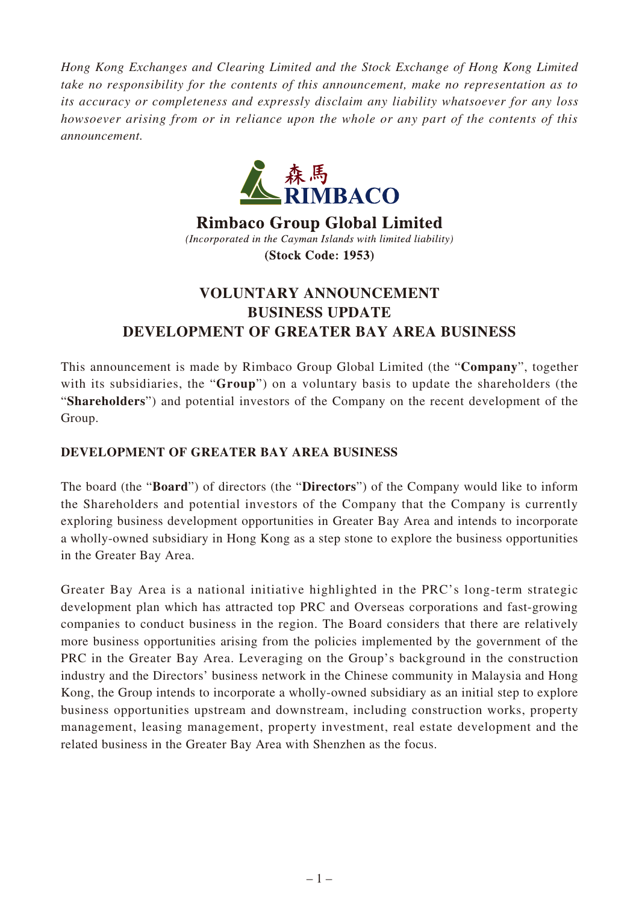*Hong Kong Exchanges and Clearing Limited and the Stock Exchange of Hong Kong Limited take no responsibility for the contents of this announcement, make no representation as to its accuracy or completeness and expressly disclaim any liability whatsoever for any loss howsoever arising from or in reliance upon the whole or any part of the contents of this announcement.*



**Rimbaco Group Global Limited** (Incorporated in the Cayman Islands with limited liability) **(Stock Code: 1953)** 

## **VOLUNTARY ANNOUNCEMENT BUSINESS UPDATE DEVELOPMENT OF GREATER BAY AREA BUSINESS**

This announcement is made by Rimbaco Group Global Limited (the "**Company**", together with its subsidiaries, the "**Group**") on a voluntary basis to update the shareholders (the "**Shareholders**") and potential investors of the Company on the recent development of the Group.

## **DEVELOPMENT OF GREATER BAY AREA BUSINESS**

The board (the "**Board**") of directors (the "**Directors**") of the Company would like to inform the Shareholders and potential investors of the Company that the Company is currently exploring business development opportunities in Greater Bay Area and intends to incorporate a wholly-owned subsidiary in Hong Kong as a step stone to explore the business opportunities in the Greater Bay Area.

Greater Bay Area is a national initiative highlighted in the PRC's long-term strategic development plan which has attracted top PRC and Overseas corporations and fast-growing companies to conduct business in the region. The Board considers that there are relatively more business opportunities arising from the policies implemented by the government of the PRC in the Greater Bay Area. Leveraging on the Group's background in the construction industry and the Directors' business network in the Chinese community in Malaysia and Hong Kong, the Group intends to incorporate a wholly-owned subsidiary as an initial step to explore business opportunities upstream and downstream, including construction works, property management, leasing management, property investment, real estate development and the related business in the Greater Bay Area with Shenzhen as the focus.